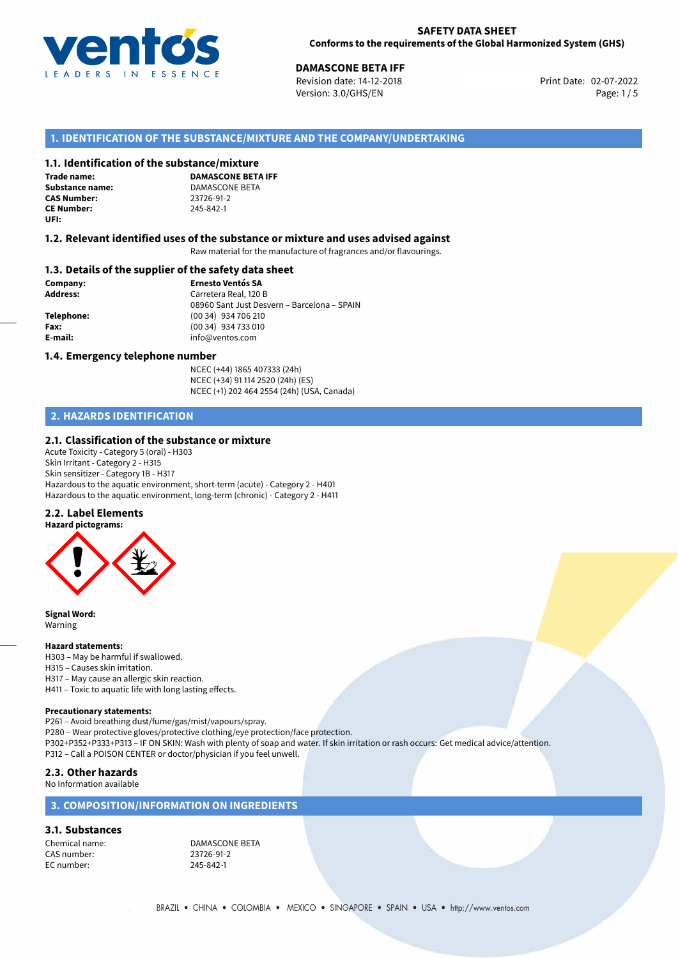

**DAMASCONE BETA IFF**<br>Revision date: 14-12-2018 **Discussed Benefits CO2-07-2022** Revision date: 14-12-2018 Version: 3.0/GHS/EN Page: 1/5

## **1. IDENTIFICATION OF THE SUBSTANCE/MIXTURE AND THE COMPANY/UNDERTAKING**

#### **1.1. Identification of the substance/mixture**

**Trade name: CAS Number: CE Number:** 245-842-1 **UFI:**

**DAMASCONE BETA IFF Substance name:** DAMASCONE BETA<br> **CAS Number:** 23726-91-2

#### **1.2. Relevant identified uses of the substance or mixture and uses advised against**

Raw material for the manufacture of fragrances and/or flavourings.

#### **1.3. Details of the supplier of the safety data sheet**

**Company: Ernesto Ventós SA Address:** Carretera Real, 120 B 08960 Sant Just Desvern – Barcelona – SPAIN **Telephone:** (00 34) 934 706 210 **Fax:** (00 34) 934 733 010 **E-mail:** info@ventos.com

#### **1.4. Emergency telephone number**

NCEC (+44) 1865 407333 (24h) NCEC (+34) 91 114 2520 (24h) (ES) NCEC (+1) 202 464 2554 (24h) (USA, Canada)

## **2. HAZARDS IDENTIFICATION**

#### **2.1. Classification of the substance or mixture**

Acute Toxicity - Category 5 (oral) - H303 Skin Irritant - Category 2 - H315 Skin sensitizer - Category 1B - H317 Hazardous to the aquatic environment, short-term (acute) - Category 2 - H401 Hazardous to the aquatic environment, long-term (chronic) - Category 2 - H411

#### **2.2. Label Elements**



**Signal Word:** Warning

#### **Hazard statements:**

H303 – May be harmful if swallowed. H315 – Causes skin irritation. H317 – May cause an allergic skin reaction. H411 – Toxic to aquatic life with long lasting effects.

#### **Precautionary statements:**

P261 – Avoid breathing dust/fume/gas/mist/vapours/spray.

P280 – Wear protective gloves/protective clothing/eye protection/face protection.

P302+P352+P333+P313 – IF ON SKIN: Wash with plenty of soap and water. If skin irritation or rash occurs: Get medical advice/attention. P312 – Call a POISON CENTER or doctor/physician if you feel unwell.

#### **2.3. Other hazards**

No Information available

### **3. COMPOSITION/INFORMATION ON INGREDIENTS**

#### **3.1. Substances**

CAS number: 23726-91-2<br>
EC number: 245-842-1 EC number:

Chemical name: DAMASCONE BETA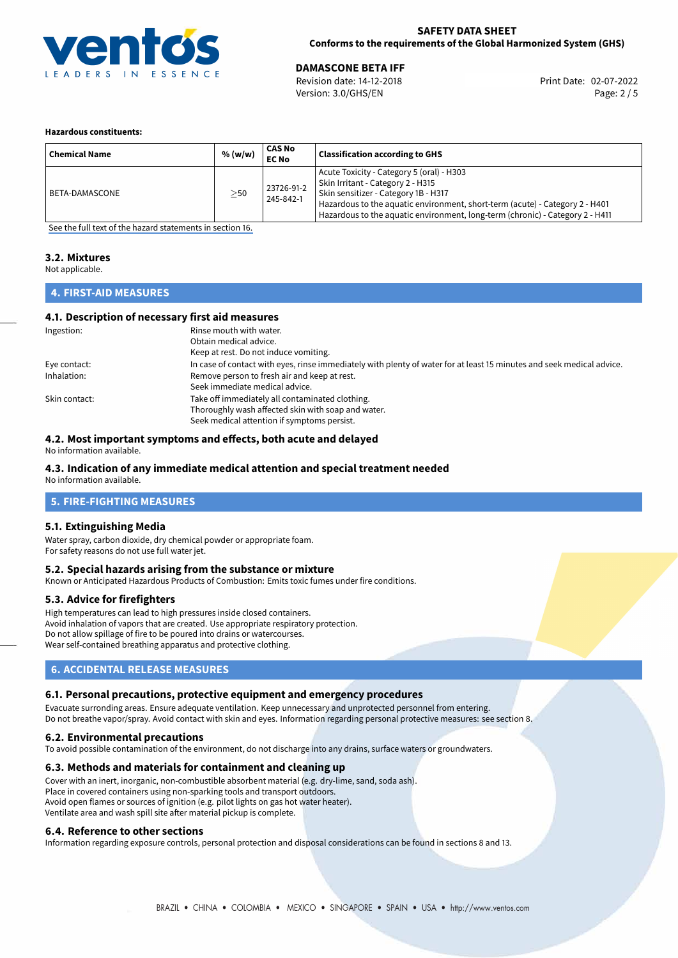

### **SAFETY DATA SHEET Conforms to the requirements of the Global Harmonized System (GHS)**

02-07-2022 **DAMASCONE BETA IFF** Revision date: 14-12-2018 Print Date: Version: 3.0/GHS/EN Page: 2 / 5

#### **Hazardous constituents:**

| <b>Chemical Name</b> | % (w/w)   | CAS No<br><b>EC No</b>  | <b>Classification according to GHS</b>                                                                                                                                                                                                                                                  |
|----------------------|-----------|-------------------------|-----------------------------------------------------------------------------------------------------------------------------------------------------------------------------------------------------------------------------------------------------------------------------------------|
| BETA-DAMASCONE       | $\geq$ 50 | 23726-91-2<br>245-842-1 | Acute Toxicity - Category 5 (oral) - H303<br>Skin Irritant - Category 2 - H315<br>Skin sensitizer - Category 1B - H317<br>Hazardous to the aquatic environment, short-term (acute) - Category 2 - H401<br>Hazardous to the aquatic environment, long-term (chronic) - Category 2 - H411 |

[See the full text of the hazard statements in section 16.](#page-4-0)

#### **3.2. Mixtures**

Not applicable.

## **4. FIRST-AID MEASURES**

### **4.1. Description of necessary first aid measures**

| Ingestion:    | Rinse mouth with water.                                                                                               |  |  |
|---------------|-----------------------------------------------------------------------------------------------------------------------|--|--|
|               | Obtain medical advice.                                                                                                |  |  |
|               | Keep at rest. Do not induce vomiting.                                                                                 |  |  |
| Eye contact:  | In case of contact with eyes, rinse immediately with plenty of water for at least 15 minutes and seek medical advice. |  |  |
| Inhalation:   | Remove person to fresh air and keep at rest.                                                                          |  |  |
|               | Seek immediate medical advice.                                                                                        |  |  |
| Skin contact: | Take off immediately all contaminated clothing.                                                                       |  |  |
|               | Thoroughly wash affected skin with soap and water.                                                                    |  |  |
|               | Seek medical attention if symptoms persist.                                                                           |  |  |

### **4.2. Most important symptoms and effects, both acute and delayed**

No information available.

## **4.3. Indication of any immediate medical attention and special treatment needed**

No information available.

## **5. FIRE-FIGHTING MEASURES**

### **5.1. Extinguishing Media**

Water spray, carbon dioxide, dry chemical powder or appropriate foam. For safety reasons do not use full water jet.

### **5.2. Special hazards arising from the substance or mixture**

Known or Anticipated Hazardous Products of Combustion: Emits toxic fumes under fire conditions.

### **5.3. Advice for firefighters**

High temperatures can lead to high pressures inside closed containers. Avoid inhalation of vapors that are created. Use appropriate respiratory protection. Do not allow spillage of fire to be poured into drains or watercourses. Wear self-contained breathing apparatus and protective clothing.

### **6. ACCIDENTAL RELEASE MEASURES**

### **6.1. Personal precautions, protective equipment and emergency procedures**

Evacuate surronding areas. Ensure adequate ventilation. Keep unnecessary and unprotected personnel from entering. Do not breathe vapor/spray. Avoid contact with skin and eyes. Information regarding personal protective measures: see section 8.

### **6.2. Environmental precautions**

To avoid possible contamination of the environment, do not discharge into any drains, surface waters or groundwaters.

### **6.3. Methods and materials for containment and cleaning up**

Cover with an inert, inorganic, non-combustible absorbent material (e.g. dry-lime, sand, soda ash). Place in covered containers using non-sparking tools and transport outdoors. Avoid open flames or sources of ignition (e.g. pilot lights on gas hot water heater). Ventilate area and wash spill site after material pickup is complete.

### **6.4. Reference to other sections**

Information regarding exposure controls, personal protection and disposal considerations can be found in sections 8 and 13.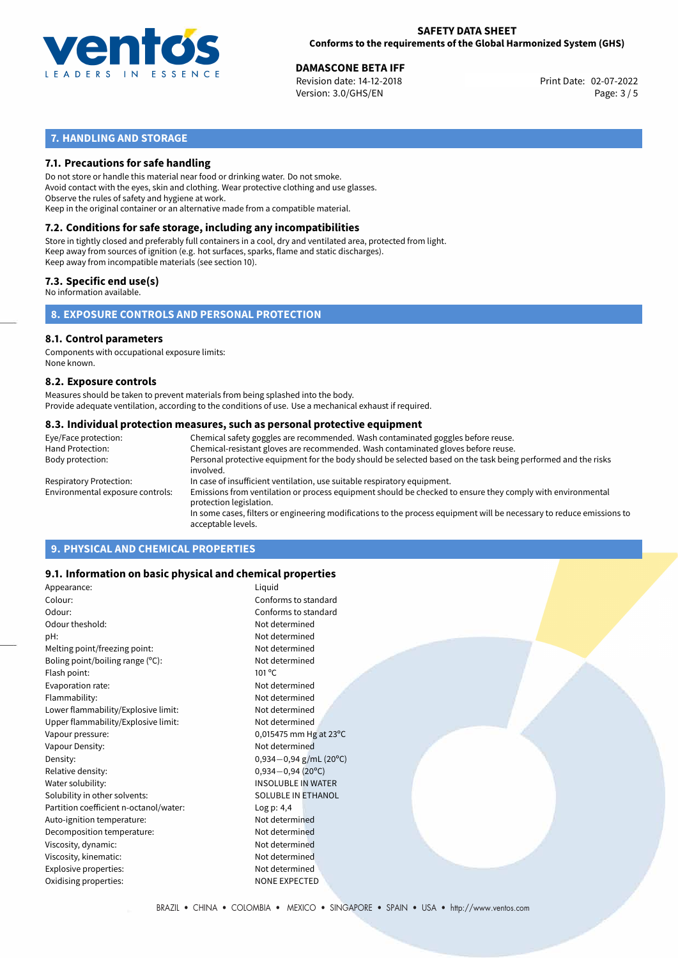

02-07-2022 **DAMASCONE BETA IFF** Revision date: 14-12-2018 Print Date: Version: 3.0/GHS/EN Page: 3 / 5

## **7. HANDLING AND STORAGE**

### **7.1. Precautions for safe handling**

Do not store or handle this material near food or drinking water. Do not smoke. Avoid contact with the eyes, skin and clothing. Wear protective clothing and use glasses. Observe the rules of safety and hygiene at work. Keep in the original container or an alternative made from a compatible material.

# **7.2. Conditions for safe storage, including any incompatibilities**

Store in tightly closed and preferably full containers in a cool, dry and ventilated area, protected from light. Keep away from sources of ignition (e.g. hot surfaces, sparks, flame and static discharges). Keep away from incompatible materials (see section 10).

#### **7.3. Specific end use(s)**

No information available.

**8. EXPOSURE CONTROLS AND PERSONAL PROTECTION**

# **8.1. Control parameters**

Components with occupational exposure limits: None known.

#### **8.2. Exposure controls**

Measures should be taken to prevent materials from being splashed into the body. Provide adequate ventilation, according to the conditions of use. Use a mechanical exhaust if required.

#### **8.3. Individual protection measures, such as personal protective equipment**

| Eye/Face protection:             | Chemical safety goggles are recommended. Wash contaminated goggles before reuse.                                                            |
|----------------------------------|---------------------------------------------------------------------------------------------------------------------------------------------|
| Hand Protection:                 | Chemical-resistant gloves are recommended. Wash contaminated gloves before reuse.                                                           |
| Body protection:                 | Personal protective equipment for the body should be selected based on the task being performed and the risks<br>involved.                  |
| Respiratory Protection:          | In case of insufficient ventilation, use suitable respiratory equipment.                                                                    |
| Environmental exposure controls: | Emissions from ventilation or process equipment should be checked to ensure they comply with environmental<br>protection legislation.       |
|                                  | In some cases, filters or engineering modifications to the process equipment will be necessary to reduce emissions to<br>acceptable levels. |
|                                  |                                                                                                                                             |

## **9. PHYSICAL AND CHEMICAL PROPERTIES**

### **9.1. Information on basic physical and chemical properties**

| Appearance:                            | Liquid                    |
|----------------------------------------|---------------------------|
| Colour:                                | Conforms to standard      |
| Odour:                                 | Conforms to standard      |
| Odour theshold:                        | Not determined            |
| pH:                                    | Not determined            |
| Melting point/freezing point:          | Not determined            |
| Boling point/boiling range (°C):       | Not determined            |
| Flash point:                           | $101^{\circ}$ C           |
| Evaporation rate:                      | Not determined            |
| Flammability:                          | Not determined            |
| Lower flammability/Explosive limit:    | Not determined            |
| Upper flammability/Explosive limit:    | Not determined            |
| Vapour pressure:                       | 0,015475 mm Hg at 23°C    |
| Vapour Density:                        | Not determined            |
| Density:                               | $0,934-0,94$ g/mL (20°C)  |
| Relative density:                      | $0,934 - 0,94$ (20°C)     |
| Water solubility:                      | <b>INSOLUBLE IN WATER</b> |
| Solubility in other solvents:          | <b>SOLUBLE IN ETHANOL</b> |
| Partition coefficient n-octanol/water: | Log p: 4,4                |
| Auto-ignition temperature:             | Not determined            |
| Decomposition temperature:             | Not determined            |
| Viscosity, dynamic:                    | Not determined            |
| Viscosity, kinematic:                  | Not determined            |
| Explosive properties:                  | Not determined            |
| Oxidising properties:                  | <b>NONE EXPECTED</b>      |
|                                        |                           |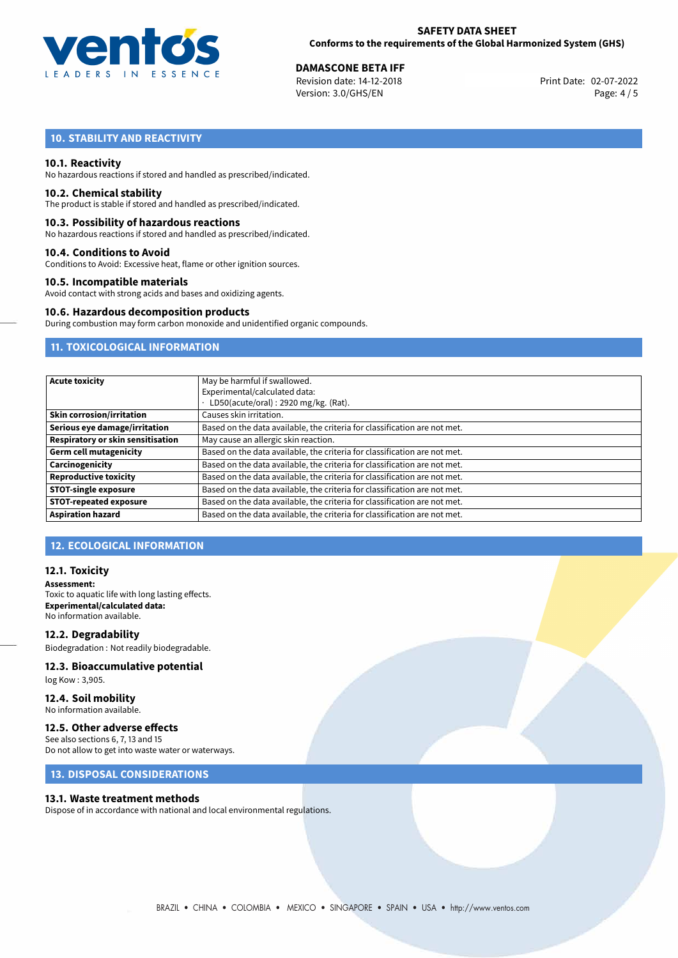

02-07-2022 **DAMASCONE BETA IFF** Revision date: 14-12-2018 Print Date: Version: 3.0/GHS/EN Page: 4 / 5

## **10. STABILITY AND REACTIVITY**

#### **10.1. Reactivity**

No hazardous reactions if stored and handled as prescribed/indicated.

#### **10.2. Chemical stability**

The product is stable if stored and handled as prescribed/indicated.

#### **10.3. Possibility of hazardous reactions**

No hazardous reactions if stored and handled as prescribed/indicated.

#### **10.4. Conditions to Avoid**

Conditions to Avoid: Excessive heat, flame or other ignition sources.

#### **10.5. Incompatible materials**

Avoid contact with strong acids and bases and oxidizing agents.

#### **10.6. Hazardous decomposition products**

During combustion may form carbon monoxide and unidentified organic compounds.

## **11. TOXICOLOGICAL INFORMATION**

| <b>Acute toxicity</b>             | May be harmful if swallowed.<br>Experimental/calculated data:<br>LD50(acute/oral): 2920 mg/kg. (Rat). |  |  |  |
|-----------------------------------|-------------------------------------------------------------------------------------------------------|--|--|--|
| <b>Skin corrosion/irritation</b>  | Causes skin irritation.                                                                               |  |  |  |
| Serious eye damage/irritation     | Based on the data available, the criteria for classification are not met.                             |  |  |  |
| Respiratory or skin sensitisation | May cause an allergic skin reaction.                                                                  |  |  |  |
| <b>Germ cell mutagenicity</b>     | Based on the data available, the criteria for classification are not met.                             |  |  |  |
| Carcinogenicity                   | Based on the data available, the criteria for classification are not met.                             |  |  |  |
| <b>Reproductive toxicity</b>      | Based on the data available, the criteria for classification are not met.                             |  |  |  |
| <b>STOT-single exposure</b>       | Based on the data available, the criteria for classification are not met.                             |  |  |  |
| <b>STOT-repeated exposure</b>     | Based on the data available, the criteria for classification are not met.                             |  |  |  |
| <b>Aspiration hazard</b>          | Based on the data available, the criteria for classification are not met.                             |  |  |  |

## **12. ECOLOGICAL INFORMATION**

#### **12.1. Toxicity**

**Assessment:** Toxic to aquatic life with long lasting effects. **Experimental/calculated data:** No information available.

**12.2. Degradability** Biodegradation : Not readily biodegradable.

# **12.3. Bioaccumulative potential**

log Kow : 3,905.

**12.4. Soil mobility** No information available.

## **12.5. Other adverse effects**

See also sections 6, 7, 13 and 15 Do not allow to get into waste water or waterways.

## **13. DISPOSAL CONSIDERATIONS**

#### **13.1. Waste treatment methods**

Dispose of in accordance with national and local environmental regulations.